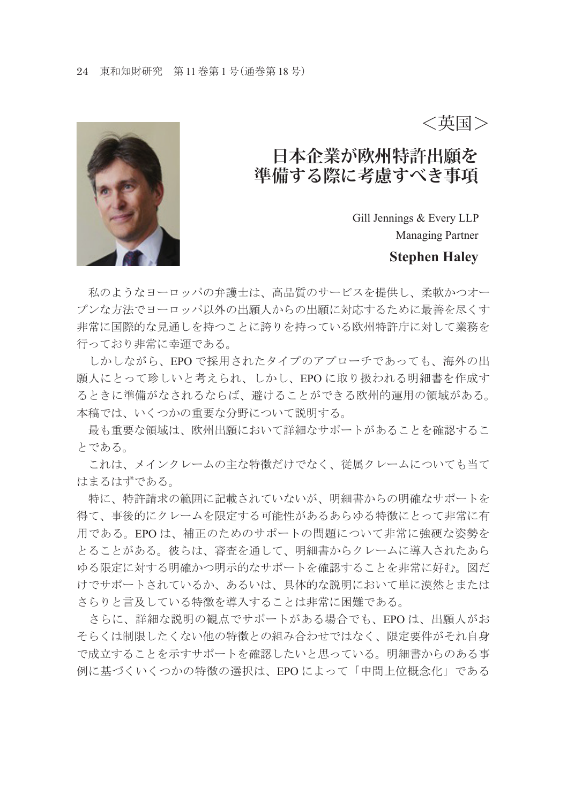<英国>

## **日本企業が欧州特許出願を 準備する際に考慮すべき事項**

Gill Jennings & Every LLP Managing Partner

#### **Stephen Haley**



私のようなヨーロッパの弁護士は、高品質のサービスを提供し、柔軟かつオー プンな方法でヨーロッパ以外の出願人からの出願に対応するために最善を尽くす 非常に国際的な見通しを持つことに誇りを持っている欧州特許庁に対して業務を 行っており非常に幸運である。

 しかしながら、EPO で採用されたタイプのアプローチであっても、海外の出 願人にとって珍しいと考えられ、しかし、EPO に取り扱われる明細書を作成す るときに準備がなされるならば、避けることができる欧州的運用の領域がある。 本稿では、いくつかの重要な分野について説明する。

 最も重要な領域は、欧州出願において詳細なサポートがあることを確認するこ とである。

 これは、メインクレームの主な特徴だけでなく、従属クレームについても当て はまるはずである。

 特に、特許請求の範囲に記載されていないが、明細書からの明確なサポートを 得て、事後的にクレームを限定する可能性があるあらゆる特徴にとって非常に有 用である。EPO は、補正のためのサポートの問題について非常に強硬な姿勢を とることがある。彼らは、審査を通して、明細書からクレームに導入されたあら ゆる限定に対する明確かつ明示的なサポートを確認することを非常に好む。図だ けでサポートされているか、あるいは、具体的な説明において単に漠然とまたは さらりと言及している特徴を導入することは非常に困難である。

 さらに、詳細な説明の観点でサポートがある場合でも、EPO は、出願人がお そらくは制限したくない他の特徴との組み合わせではなく、限定要件がそれ自身 で成立することを示すサポートを確認したいと思っている。明細書からのある事 例に基づくいくつかの特徴の選択は、EPO によって「中間上位概念化」である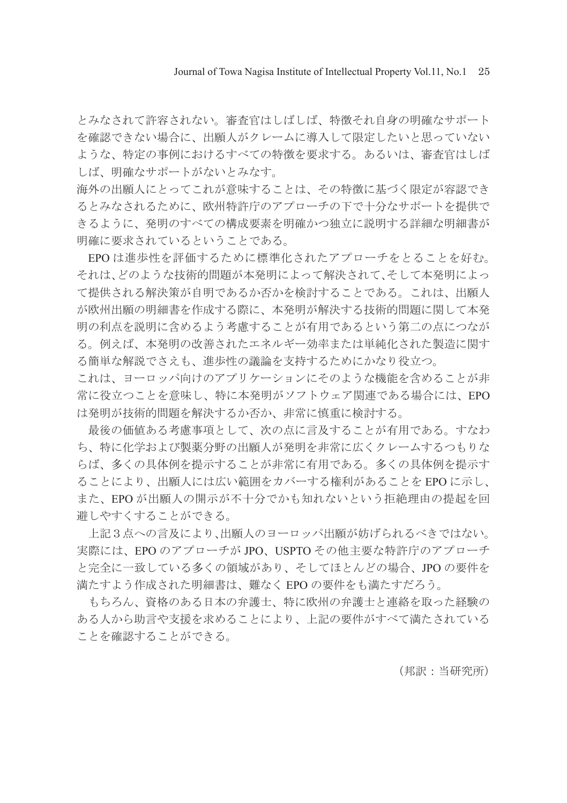Journal of Towa Nagisa Institute of Intellectual Property Vol.11, No.1 25

とみなされて許容されない。審査官はしばしば、特徴それ自身の明確なサポート を確認できない場合に、出願人がクレームに導入して限定したいと思っていない ような、特定の事例におけるすべての特徴を要求する。あるいは、審査官はしば しば、明確なサポートがないとみなす。

海外の出願人にとってこれが意味することは、その特徴に基づく限定が容認でき るとみなされるために、欧州特許庁のアプローチの下で十分なサポートを提供で きるように、発明のすべての構成要素を明確かつ独立に説明する詳細な明細書が 明確に要求されているということである。

EPO は進歩性を評価するために標準化されたアプローチをとることを好む。 それは、どのような技術的問題が本発明によって解決されて、そして本発明によっ て提供される解決策が自明であるか否かを検討することである。これは、出願人 が欧州出願の明細書を作成する際に、本発明が解決する技術的問題に関して本発 明の利点を説明に含めるよう考慮することが有用であるという第二の点につなが る。例えば、本発明の改善されたエネルギー効率または単純化された製造に関す る簡単な解説でさえも、進歩性の議論を支持するためにかなり役立つ。

これは、ヨーロッパ向けのアプリケーションにそのような機能を含めることが非 常に役立つことを意味し、特に本発明がソフトウェア関連である場合には、EPO は発明が技術的問題を解決するか否か、非常に慎重に検討する。

 最後の価値ある考慮事項として、次の点に言及することが有用である。すなわ ち、特に化学および製薬分野の出願人が発明を非常に広くクレームするつもりな らば、多くの具体例を提示することが非常に有用である。多くの具体例を提示す ることにより、出願人には広い範囲をカバーする権利があることを EPO に示し、 また、EPO が出願人の開示が不十分でかも知れないという拒絶理由の提起を回 避しやすくすることができる。

 上記3点への言及により、出願人のヨーロッパ出願が妨げられるべきではない。 実際には、EPO のアプローチが JPO、USPTO その他主要な特許庁のアプローチ と完全に一致している多くの領域があり、そしてほとんどの場合、JPO の要件を 満たすよう作成された明細書は、難なく EPO の要件をも満たすだろう。

 もちろん、資格のある日本の弁護士、特に欧州の弁護士と連絡を取った経験の ある人から助言や支援を求めることにより、上記の要件がすべて満たされている ことを確認することができる。

(邦訳:当研究所)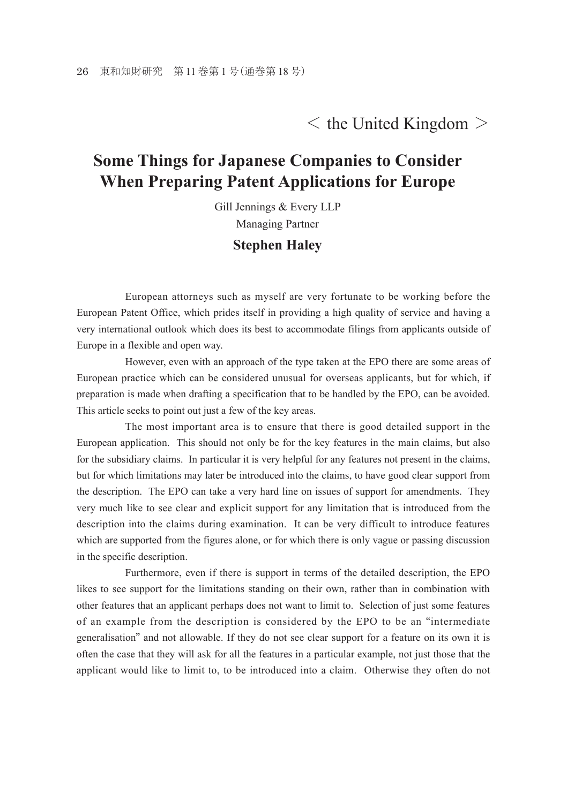### $\langle$  the United Kingdom  $>$

# **Some Things for Japanese Companies to Consider When Preparing Patent Applications for Europe**

Gill Jennings & Every LLP Managing Partner

### **Stephen Haley**

 European attorneys such as myself are very fortunate to be working before the European Patent Office, which prides itself in providing a high quality of service and having a very international outlook which does its best to accommodate filings from applicants outside of Europe in a flexible and open way.

 However, even with an approach of the type taken at the EPO there are some areas of European practice which can be considered unusual for overseas applicants, but for which, if preparation is made when drafting a specification that to be handled by the EPO, can be avoided. This article seeks to point out just a few of the key areas.

 The most important area is to ensure that there is good detailed support in the European application. This should not only be for the key features in the main claims, but also for the subsidiary claims. In particular it is very helpful for any features not present in the claims, but for which limitations may later be introduced into the claims, to have good clear support from the description. The EPO can take a very hard line on issues of support for amendments. They very much like to see clear and explicit support for any limitation that is introduced from the description into the claims during examination. It can be very difficult to introduce features which are supported from the figures alone, or for which there is only vague or passing discussion in the specific description.

 Furthermore, even if there is support in terms of the detailed description, the EPO likes to see support for the limitations standing on their own, rather than in combination with other features that an applicant perhaps does not want to limit to. Selection of just some features of an example from the description is considered by the EPO to be an "intermediate generalisation" and not allowable. If they do not see clear support for a feature on its own it is often the case that they will ask for all the features in a particular example, not just those that the applicant would like to limit to, to be introduced into a claim. Otherwise they often do not